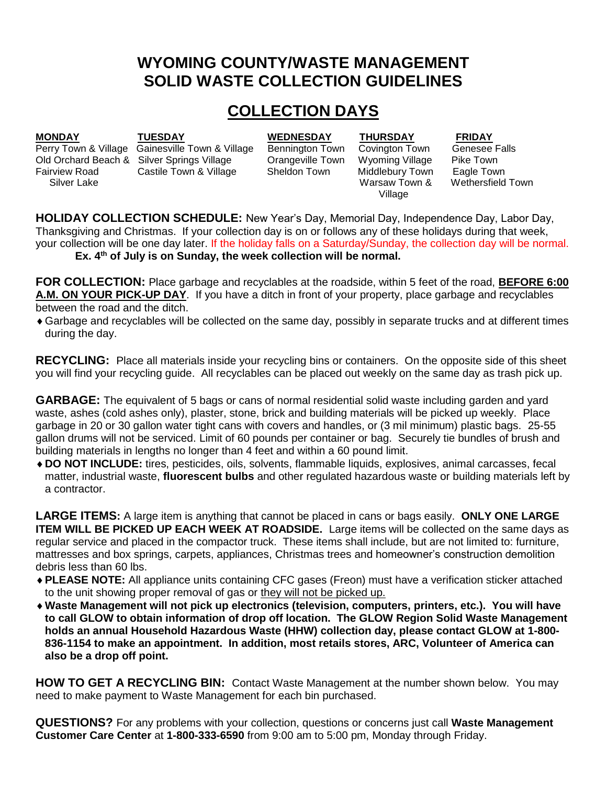# **WYOMING COUNTY/WASTE MANAGEMENT SOLID WASTE COLLECTION GUIDELINES**

# **COLLECTION DAYS**

**MONDAY TUESDAY WEDNESDAY THURSDAY FRIDAY** 

Perry Town & Village Gainesville Town & Village Bennington Town Covington Town Genesee Falls Old Orchard Beach & Silver Springs Village Orangeville Town Wyoming Village Pike Town Fairview Road Castile Town & Village Sheldon Town Middlebury Town Eagle Town Village

Silver Lake **Warsaw Town & Wethersfield Town** 

**HOLIDAY COLLECTION SCHEDULE:** New Year's Day, Memorial Day, Independence Day, Labor Day, Thanksgiving and Christmas. If your collection day is on or follows any of these holidays during that week, your collection will be one day later. If the holiday falls on a Saturday/Sunday, the collection day will be normal. **Ex. 4th of July is on Sunday, the week collection will be normal.**

**FOR COLLECTION:** Place garbage and recyclables at the roadside, within 5 feet of the road, **BEFORE 6:00 A.M. ON YOUR PICK-UP DAY**. If you have a ditch in front of your property, place garbage and recyclables between the road and the ditch.

Garbage and recyclables will be collected on the same day, possibly in separate trucks and at different times during the day.

**RECYCLING:** Place all materials inside your recycling bins or containers. On the opposite side of this sheet you will find your recycling guide. All recyclables can be placed out weekly on the same day as trash pick up.

**GARBAGE:** The equivalent of 5 bags or cans of normal residential solid waste including garden and yard waste, ashes (cold ashes only), plaster, stone, brick and building materials will be picked up weekly. Place garbage in 20 or 30 gallon water tight cans with covers and handles, or (3 mil minimum) plastic bags. 25-55 gallon drums will not be serviced. Limit of 60 pounds per container or bag. Securely tie bundles of brush and building materials in lengths no longer than 4 feet and within a 60 pound limit.

**DO NOT INCLUDE:** tires, pesticides, oils, solvents, flammable liquids, explosives, animal carcasses, fecal matter, industrial waste, **fluorescent bulbs** and other regulated hazardous waste or building materials left by a contractor.

**LARGE ITEMS:** A large item is anything that cannot be placed in cans or bags easily. **ONLY ONE LARGE ITEM WILL BE PICKED UP EACH WEEK AT ROADSIDE.** Large items will be collected on the same days as regular service and placed in the compactor truck. These items shall include, but are not limited to: furniture, mattresses and box springs, carpets, appliances, Christmas trees and homeowner's construction demolition debris less than 60 lbs.

- **PLEASE NOTE:** All appliance units containing CFC gases (Freon) must have a verification sticker attached to the unit showing proper removal of gas or they will not be picked up.
- **Waste Management will not pick up electronics (television, computers, printers, etc.). You will have to call GLOW to obtain information of drop off location. The GLOW Region Solid Waste Management holds an annual Household Hazardous Waste (HHW) collection day, please contact GLOW at 1-800- 836-1154 to make an appointment. In addition, most retails stores, ARC, Volunteer of America can also be a drop off point.**

**HOW TO GET A RECYCLING BIN:** Contact Waste Management at the number shown below. You may need to make payment to Waste Management for each bin purchased.

**QUESTIONS?** For any problems with your collection, questions or concerns just call **Waste Management Customer Care Center** at **1-800-333-6590** from 9:00 am to 5:00 pm, Monday through Friday.